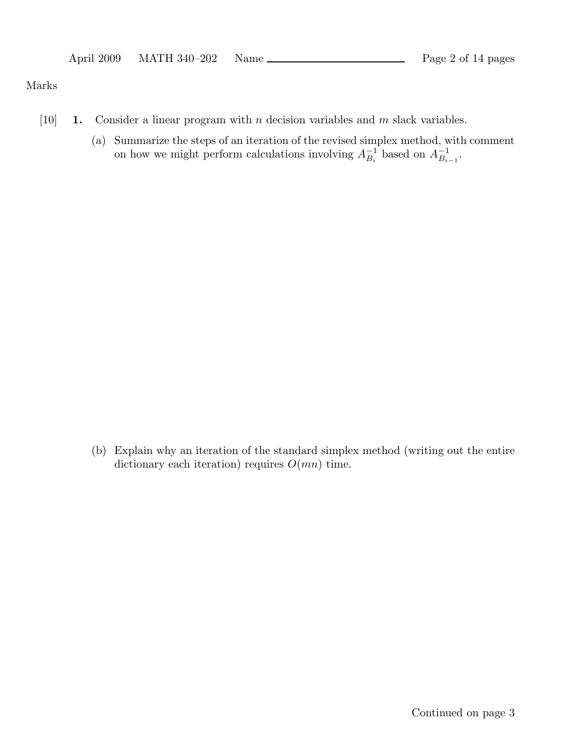#### Marks

- [10] **1.** Consider a linear program with *n* decision variables and *m* slack variables.
	- (a) Summarize the steps of an iteration of the revised simplex method, with comment on how we might perform calculations involving  $A_{B_i}^{-1}$  based on  $A_{B_{i-1}}^{-1}$ .

(b) Explain why an iteration of the standard simplex method (writing out the entire dictionary each iteration) requires  $O(mn)$  time.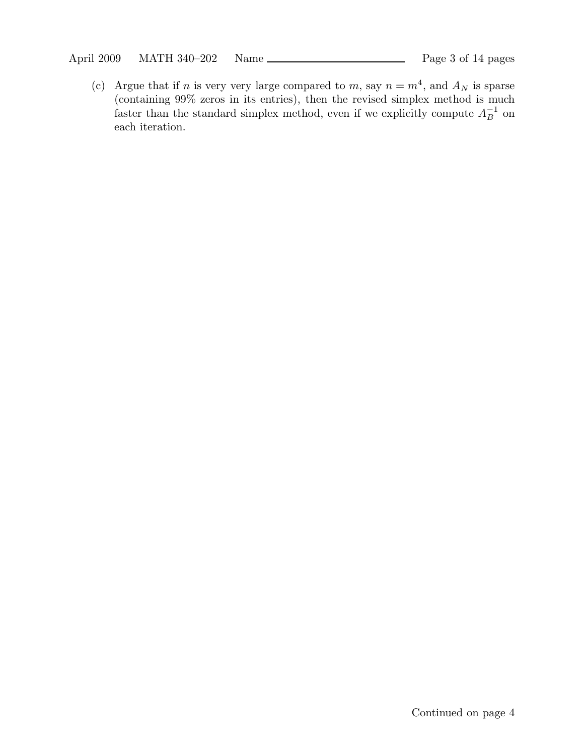(c) Argue that if n is very very large compared to m, say  $n = m<sup>4</sup>$ , and  $A_N$  is sparse (containing 99% zeros in its entries), then the revised simplex method is much faster than the standard simplex method, even if we explicitly compute  $A^{-1}_B$  on each iteration.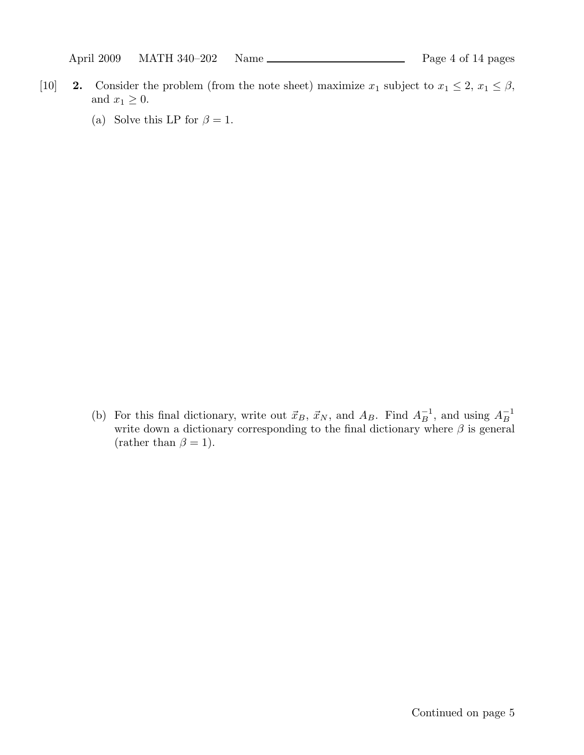- [10] **2.** Consider the problem (from the note sheet) maximize  $x_1$  subject to  $x_1 \leq 2$ ,  $x_1 \leq \beta$ , and  $x_1 \geq 0$ .
	- (a) Solve this LP for  $\beta = 1$ .

(b) For this final dictionary, write out  $\vec{x}_B$ ,  $\vec{x}_N$ , and  $A_B$ . Find  $A_B^{-1}$ , and using  $A_B^{-1}$ write down a dictionary corresponding to the final dictionary where  $\beta$  is general (rather than  $\beta = 1$ ).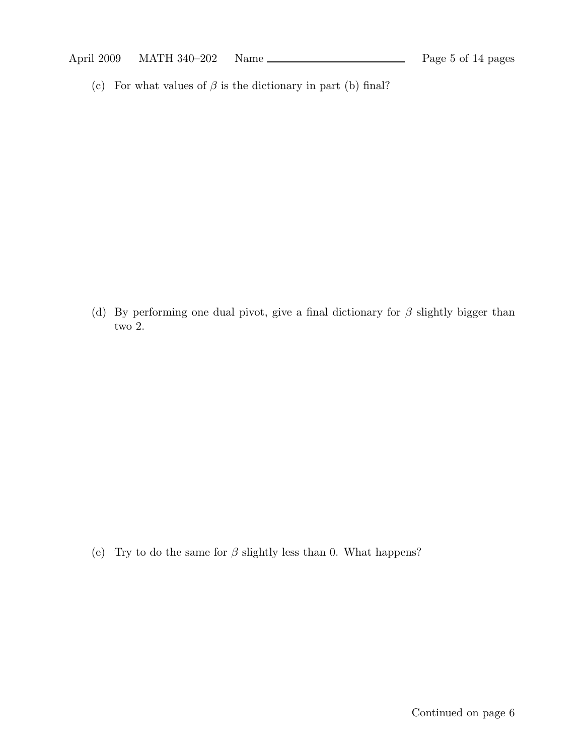(c) For what values of  $\beta$  is the dictionary in part (b) final?

(d) By performing one dual pivot, give a final dictionary for  $\beta$  slightly bigger than two 2.

(e) Try to do the same for  $\beta$  slightly less than 0. What happens?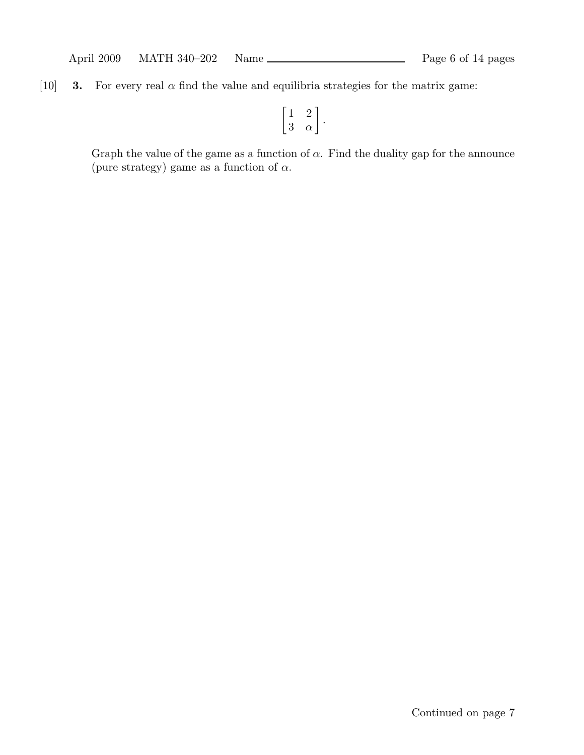[10] **3.** For every real  $\alpha$  find the value and equilibria strategies for the matrix game:

$$
\left[\begin{matrix} 1 & 2 \\ 3 & \alpha \end{matrix}\right].
$$

Graph the value of the game as a function of  $\alpha$ . Find the duality gap for the announce (pure strategy) game as a function of  $\alpha$ .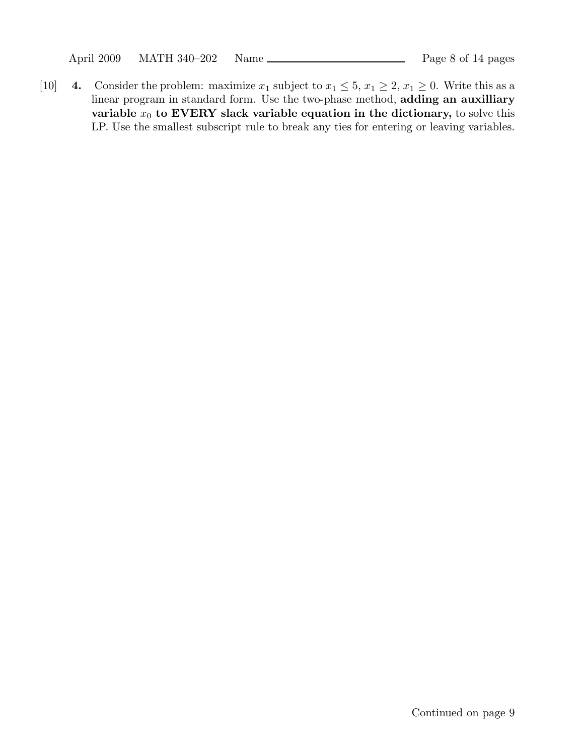April 2009 MATH 340-202 Name Page 8 of 14 pages

[10] 4. Consider the problem: maximize  $x_1$  subject to  $x_1 \leq 5$ ,  $x_1 \geq 2$ ,  $x_1 \geq 0$ . Write this as a linear program in standard form. Use the two-phase method, adding an auxilliary variable  $x_0$  to EVERY slack variable equation in the dictionary, to solve this LP. Use the smallest subscript rule to break any ties for entering or leaving variables.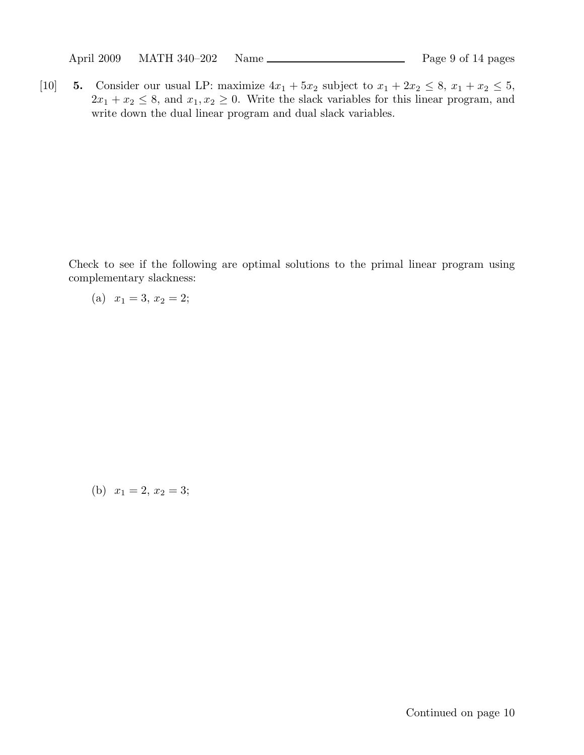April 2009 MATH 340-202 Name Page 9 of 14 pages

[10] 5. Consider our usual LP: maximize  $4x_1 + 5x_2$  subject to  $x_1 + 2x_2 \le 8$ ,  $x_1 + x_2 \le 5$ ,  $2x_1 + x_2 \leq 8$ , and  $x_1, x_2 \geq 0$ . Write the slack variables for this linear program, and write down the dual linear program and dual slack variables.

Check to see if the following are optimal solutions to the primal linear program using complementary slackness:

(a) 
$$
x_1 = 3, x_2 = 2;
$$

(b)  $x_1 = 2, x_2 = 3;$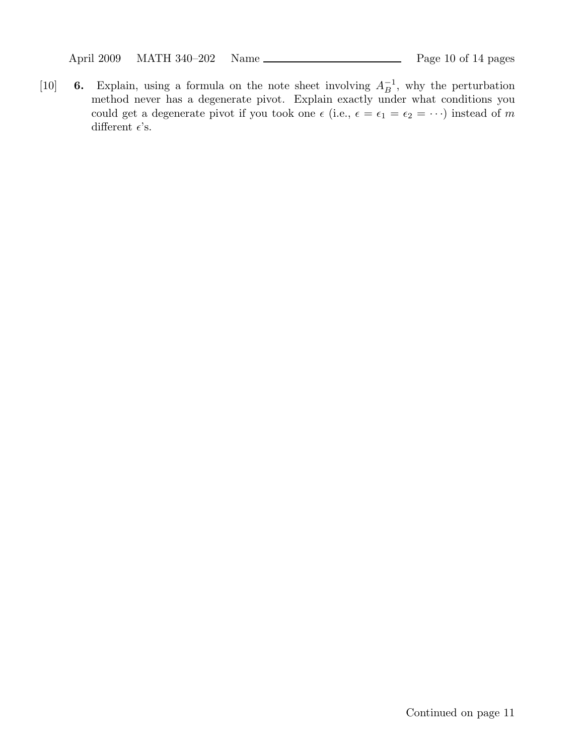April 2009 MATH 340-202 Name Page 10 of 14 pages

[10] 6. Explain, using a formula on the note sheet involving  $A_B^{-1}$ , why the perturbation method never has a degenerate pivot. Explain exactly under what conditions you could get a degenerate pivot if you took one  $\epsilon$  (i.e.,  $\epsilon = \epsilon_1 = \epsilon_2 = \cdots$ ) instead of m different  $\epsilon$ 's.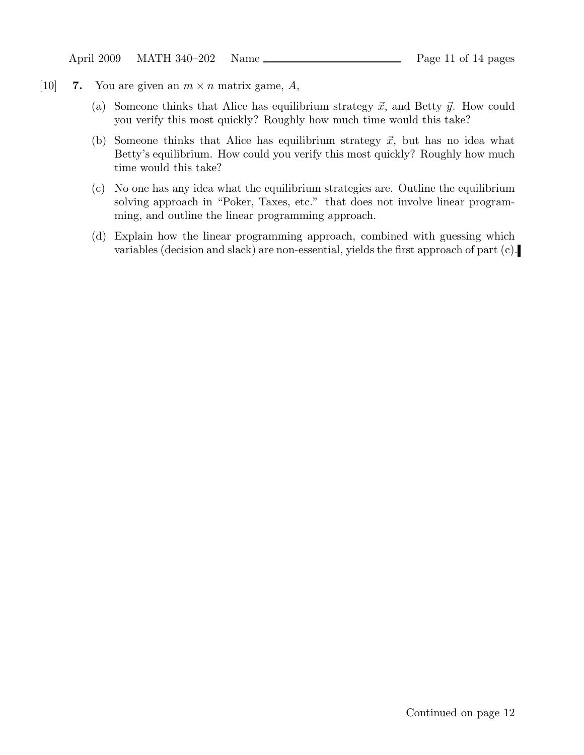April 2009 MATH 340-202 Name Page 11 of 14 pages

- [10] 7. You are given an  $m \times n$  matrix game, A,
	- (a) Someone thinks that Alice has equilibrium strategy  $\vec{x}$ , and Betty  $\vec{y}$ . How could you verify this most quickly? Roughly how much time would this take?
	- (b) Someone thinks that Alice has equilibrium strategy  $\vec{x}$ , but has no idea what Betty's equilibrium. How could you verify this most quickly? Roughly how much time would this take?
	- (c) No one has any idea what the equilibrium strategies are. Outline the equilibrium solving approach in "Poker, Taxes, etc." that does not involve linear programming, and outline the linear programming approach.
	- (d) Explain how the linear programming approach, combined with guessing which variables (decision and slack) are non-essential, yields the first approach of part (c).